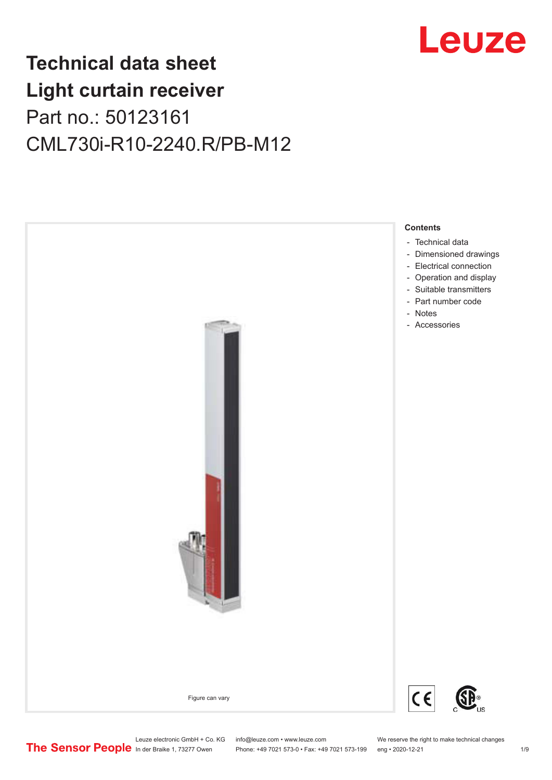

# **Technical data sheet Light curtain receiver** Part no.: 50123161 CML730i-R10-2240.R/PB-M12



Phone: +49 7021 573-0 • Fax: +49 7021 573-199 eng • 2020-12-21 1 2020-12-21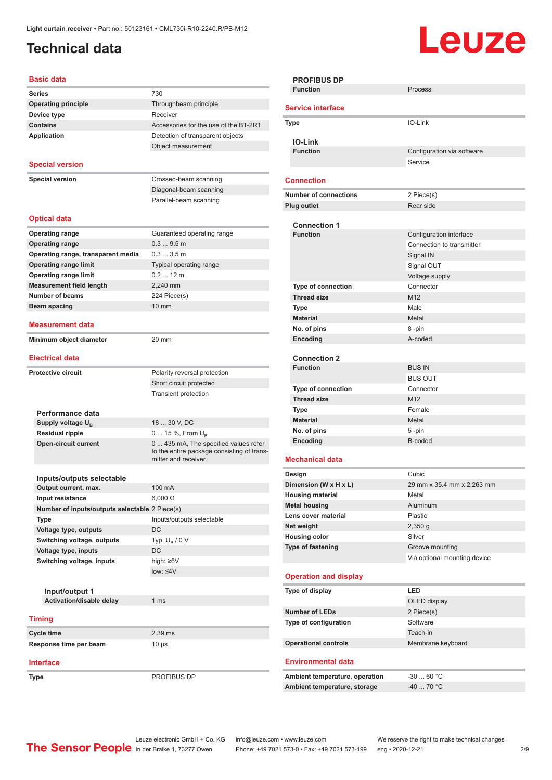## <span id="page-1-0"></span>**Technical data**

# Leuze

**Configuration** via software

Service

**PROFIBUS DP**

**Service interface**

**IO-Link**

**Connection**

**Function** Process

**Type** IO-Link

| Basic data                                     |                                                                                                             |
|------------------------------------------------|-------------------------------------------------------------------------------------------------------------|
| <b>Series</b>                                  | 730                                                                                                         |
| <b>Operating principle</b>                     | Throughbeam principle                                                                                       |
| Device type                                    | Receiver                                                                                                    |
| <b>Contains</b>                                | Accessories for the use of the BT-2R1                                                                       |
| Application                                    | Detection of transparent objects                                                                            |
|                                                | Object measurement                                                                                          |
|                                                |                                                                                                             |
| <b>Special version</b>                         |                                                                                                             |
| <b>Special version</b>                         | Crossed-beam scanning                                                                                       |
|                                                | Diagonal-beam scanning                                                                                      |
|                                                | Parallel-beam scanning                                                                                      |
|                                                |                                                                                                             |
| <b>Optical data</b>                            |                                                                                                             |
| <b>Operating range</b>                         | Guaranteed operating range                                                                                  |
| <b>Operating range</b>                         | 0.39.5m                                                                                                     |
| Operating range, transparent media             | 0.33.5m                                                                                                     |
| <b>Operating range limit</b>                   | Typical operating range                                                                                     |
| <b>Operating range limit</b>                   | $0.212$ m                                                                                                   |
| <b>Measurement field length</b>                | 2,240 mm                                                                                                    |
| <b>Number of beams</b>                         | 224 Piece(s)                                                                                                |
| Beam spacing                                   | $10 \text{ mm}$                                                                                             |
| Measurement data                               |                                                                                                             |
| Minimum object diameter                        | 20 mm                                                                                                       |
|                                                |                                                                                                             |
| <b>Electrical data</b>                         |                                                                                                             |
| <b>Protective circuit</b>                      | Polarity reversal protection                                                                                |
|                                                | Short circuit protected                                                                                     |
|                                                | <b>Transient protection</b>                                                                                 |
|                                                |                                                                                                             |
| Performance data                               |                                                                                                             |
| Supply voltage U <sub>B</sub>                  | 18  30 V, DC                                                                                                |
| <b>Residual ripple</b>                         | 0  15 %, From $U_{\rm B}$                                                                                   |
| <b>Open-circuit current</b>                    | 0  435 mA, The specified values refer<br>to the entire package consisting of trans-<br>mitter and receiver. |
|                                                |                                                                                                             |
| Inputs/outputs selectable                      |                                                                                                             |
| Output current, max.                           | 100 mA                                                                                                      |
| Input resistance                               | $6,000 \Omega$                                                                                              |
| Number of inputs/outputs selectable 2 Piece(s) |                                                                                                             |
| Type                                           | Inputs/outputs selectable                                                                                   |
| Voltage type, outputs                          | DC                                                                                                          |
| Switching voltage, outputs                     | Typ. $U_R / 0 V$                                                                                            |
| Voltage type, inputs                           | DC                                                                                                          |
| Switching voltage, inputs                      | high: ≥6V                                                                                                   |
|                                                | $low: 4V$                                                                                                   |
| Input/output 1                                 |                                                                                                             |
| Activation/disable delay                       | 1 <sub>ms</sub>                                                                                             |
|                                                |                                                                                                             |
| <b>Timing</b>                                  |                                                                                                             |
| Cycle time                                     | 2.39 ms                                                                                                     |
| Response time per beam                         | 10 µs                                                                                                       |
|                                                |                                                                                                             |
| Interface                                      |                                                                                                             |

| <b>Number of connections</b>           | 2 Piece(s)                   |
|----------------------------------------|------------------------------|
| <b>Plug outlet</b>                     | Rear side                    |
|                                        |                              |
| <b>Connection 1</b>                    |                              |
| <b>Function</b>                        | Configuration interface      |
|                                        | Connection to transmitter    |
|                                        | Signal IN                    |
|                                        | Signal OUT                   |
|                                        | Voltage supply               |
| Type of connection                     | Connector                    |
| <b>Thread size</b>                     | M <sub>12</sub>              |
| Type                                   | Male                         |
| <b>Material</b>                        | Metal                        |
| No. of pins                            | 8 -pin                       |
| Encoding                               | A-coded                      |
|                                        |                              |
| <b>Connection 2</b><br><b>Function</b> | <b>BUS IN</b>                |
|                                        | <b>BUS OUT</b>               |
| <b>Type of connection</b>              | Connector                    |
| <b>Thread size</b>                     | M12                          |
| <b>Type</b>                            | Female                       |
| <b>Material</b>                        | Metal                        |
| No. of pins                            | 5-pin                        |
|                                        |                              |
|                                        |                              |
| Encoding                               | B-coded                      |
| <b>Mechanical data</b>                 |                              |
| Design                                 | Cubic                        |
| Dimension (W x H x L)                  | 29 mm x 35.4 mm x 2,263 mm   |
| <b>Housing material</b>                | Metal                        |
| <b>Metal housing</b>                   | <b>Aluminum</b>              |
| Lens cover material                    | <b>Plastic</b>               |
| Net weight                             | $2,350$ g                    |
| <b>Housing color</b>                   | Silver                       |
| <b>Type of fastening</b>               | Groove mounting              |
|                                        | Via optional mounting device |
|                                        |                              |
| <b>Operation and display</b>           |                              |
| Type of display                        | LED                          |
|                                        | OLED display                 |
| <b>Number of LEDs</b>                  | 2 Piece(s)                   |
| Type of configuration                  | Software                     |
|                                        | Teach-in                     |
| <b>Operational controls</b>            | Membrane keyboard            |
|                                        |                              |
| <b>Environmental data</b>              |                              |
| Ambient temperature, operation         | $-3060 °C$                   |

**Type** PROFIBUS DP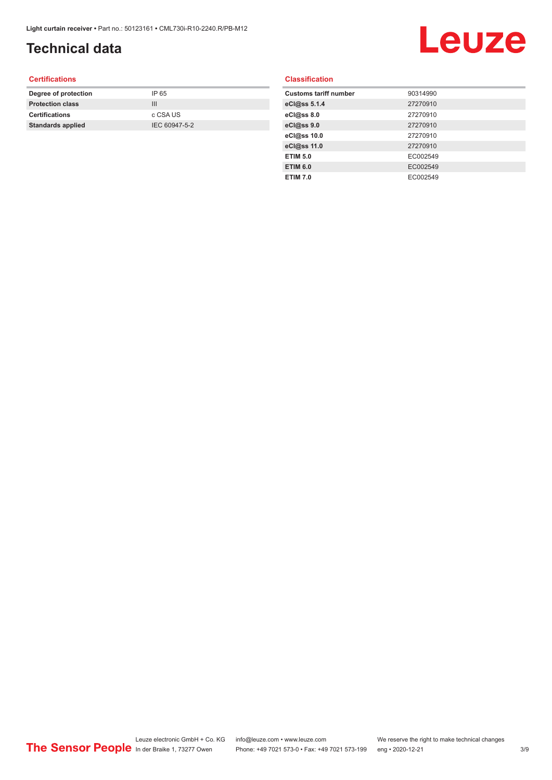## **Technical data**

# Leuze

#### **Certifications**

| Degree of protection     | IP 65         |
|--------------------------|---------------|
| <b>Protection class</b>  | Ш             |
| <b>Certifications</b>    | c CSA US      |
| <b>Standards applied</b> | IEC 60947-5-2 |
|                          |               |

#### **Classification**

| <b>Customs tariff number</b> | 90314990 |
|------------------------------|----------|
| eCl@ss 5.1.4                 | 27270910 |
| eCl@ss 8.0                   | 27270910 |
| eCl@ss 9.0                   | 27270910 |
| eCl@ss 10.0                  | 27270910 |
| eCl@ss 11.0                  | 27270910 |
| <b>ETIM 5.0</b>              | EC002549 |
| <b>ETIM 6.0</b>              | EC002549 |
| <b>ETIM 7.0</b>              | EC002549 |
|                              |          |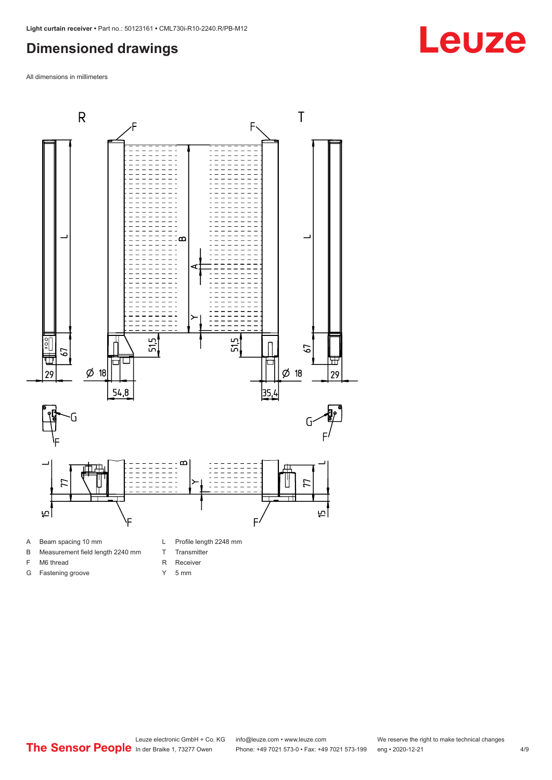#### <span id="page-3-0"></span>**Dimensioned drawings**

All dimensions in millimeters



- A Beam spacing 10 mm
- B Measurement field length 2240 mm
- F M6 thread

G Fastening groove

- R Receiver
	- Y 5 mm

T Transmitter

# **Leuze**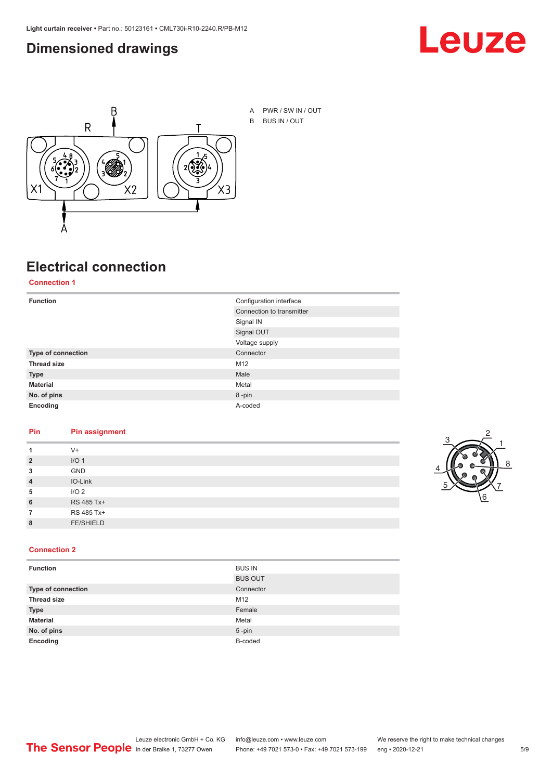#### <span id="page-4-0"></span>**Dimensioned drawings**





### **Electrical connection**

**Connection 1**

| <b>Function</b>    | Configuration interface   |  |
|--------------------|---------------------------|--|
|                    | Connection to transmitter |  |
|                    | Signal IN                 |  |
|                    | Signal OUT                |  |
|                    | Voltage supply            |  |
| Type of connection | Connector                 |  |
| <b>Thread size</b> | M12                       |  |
| <b>Type</b>        | Male                      |  |
| <b>Material</b>    | Metal                     |  |
| No. of pins        | 8-pin                     |  |
| Encoding           | A-coded                   |  |

#### **Pin Pin assignment**

| 1              | $V +$            |  |  |
|----------------|------------------|--|--|
| $\overline{2}$ | I/O <sub>1</sub> |  |  |
| 3              | <b>GND</b>       |  |  |
| $\overline{4}$ | IO-Link          |  |  |
| 5              | I/O <sub>2</sub> |  |  |
| 6              | RS 485 Tx+       |  |  |
| 7              | RS 485 Tx+       |  |  |
| 8              | <b>FE/SHIELD</b> |  |  |
|                |                  |  |  |



#### **Connection 2**

| <b>Function</b>    | <b>BUS IN</b>  |
|--------------------|----------------|
|                    | <b>BUS OUT</b> |
| Type of connection | Connector      |
| <b>Thread size</b> | M12            |
| <b>Type</b>        | Female         |
| <b>Material</b>    | Metal          |
| No. of pins        | $5 - pin$      |
| Encoding           | B-coded        |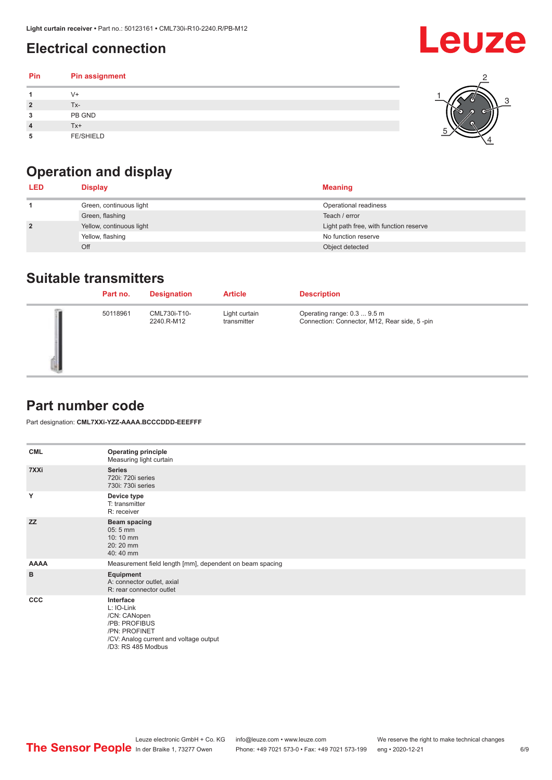## <span id="page-5-0"></span>**Electrical connection**

| Pin            | Pin assignment   |  |
|----------------|------------------|--|
|                | $V +$            |  |
| $\overline{2}$ | Tx-              |  |
| 3              | PB GND           |  |
|                | $Tx+$            |  |
| 5              | <b>FE/SHIELD</b> |  |

## **Operation and display**

| <b>LED</b>     | <b>Display</b>           | <b>Meaning</b>                         |
|----------------|--------------------------|----------------------------------------|
|                | Green, continuous light  | Operational readiness                  |
|                | Green, flashing          | Teach / error                          |
| $\overline{2}$ | Yellow, continuous light | Light path free, with function reserve |
|                | Yellow, flashing         | No function reserve                    |
|                | Off                      | Object detected                        |

#### **Suitable transmitters**

| Part no. | <b>Designation</b>         | <b>Article</b>               | <b>Description</b>                                                          |
|----------|----------------------------|------------------------------|-----------------------------------------------------------------------------|
| 50118961 | CML730i-T10-<br>2240.R-M12 | Light curtain<br>transmitter | Operating range: 0.3  9.5 m<br>Connection: Connector, M12, Rear side, 5-pin |

#### **Part number code**

Part designation: **CML7XXi-YZZ-AAAA.BCCCDDD-EEEFFF**

| <b>CML</b>  | <b>Operating principle</b><br>Measuring light curtain                                                                                     |
|-------------|-------------------------------------------------------------------------------------------------------------------------------------------|
| 7XXi        | <b>Series</b><br>720i: 720i series<br>730i: 730i series                                                                                   |
| Y           | Device type<br>T: transmitter<br>R: receiver                                                                                              |
| <b>ZZ</b>   | <b>Beam spacing</b><br>$05:5$ mm<br>10:10 mm<br>20:20 mm<br>40:40 mm                                                                      |
| <b>AAAA</b> | Measurement field length [mm], dependent on beam spacing                                                                                  |
| B           | Equipment<br>A: connector outlet, axial<br>R: rear connector outlet                                                                       |
| CCC         | Interface<br>L: IO-Link<br>/CN: CANopen<br>/PB: PROFIBUS<br>/PN: PROFINET<br>/CV: Analog current and voltage output<br>/D3: RS 485 Modbus |

**Leuze**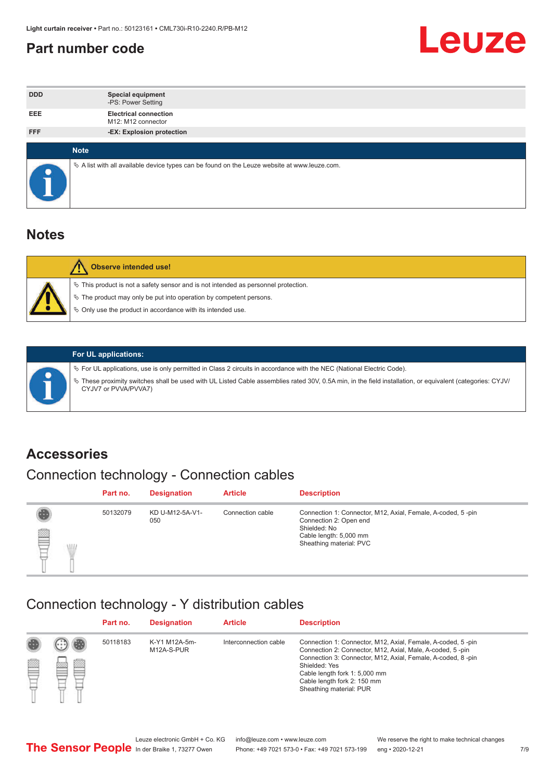#### <span id="page-6-0"></span>**Part number code**



| <b>DDD</b>  | <b>Special equipment</b><br>-PS: Power Setting                                                  |
|-------------|-------------------------------------------------------------------------------------------------|
| <b>EEE</b>  | <b>Electrical connection</b><br>M12: M12 connector                                              |
| <b>FFF</b>  | -EX: Explosion protection                                                                       |
| <b>Note</b> |                                                                                                 |
|             | $\&$ A list with all available device types can be found on the Leuze website at www.leuze.com. |

#### **Notes**

| $\%$ The product may only be put into operation by competent persons.<br>₿ Only use the product in accordance with its intended use. | $\%$ This product is not a safety sensor and is not intended as personnel protection. |
|--------------------------------------------------------------------------------------------------------------------------------------|---------------------------------------------------------------------------------------|



#### **For UL applications:**

ª For UL applications, use is only permitted in Class 2 circuits in accordance with the NEC (National Electric Code). ª These proximity switches shall be used with UL Listed Cable assemblies rated 30V, 0.5A min, in the field installation, or equivalent (categories: CYJV/ CYJV7 or PVVA/PVVA7)

#### **Accessories**

### Connection technology - Connection cables

|        | Part no. | <b>Designation</b>     | <b>Article</b>   | <b>Description</b>                                                                                                                                         |
|--------|----------|------------------------|------------------|------------------------------------------------------------------------------------------------------------------------------------------------------------|
| 2<br>W | 50132079 | KD U-M12-5A-V1-<br>050 | Connection cable | Connection 1: Connector, M12, Axial, Female, A-coded, 5-pin<br>Connection 2: Open end<br>Shielded: No<br>Cable length: 5,000 mm<br>Sheathing material: PVC |

#### Connection technology - Y distribution cables

|        |   | Part no. | <b>Designation</b>          | <b>Article</b>        | <b>Description</b>                                                                                                                                                                                                                                                                                  |
|--------|---|----------|-----------------------------|-----------------------|-----------------------------------------------------------------------------------------------------------------------------------------------------------------------------------------------------------------------------------------------------------------------------------------------------|
| 圔<br>⋿ | Ø | 50118183 | K-Y1 M12A-5m-<br>M12A-S-PUR | Interconnection cable | Connection 1: Connector, M12, Axial, Female, A-coded, 5-pin<br>Connection 2: Connector, M12, Axial, Male, A-coded, 5-pin<br>Connection 3: Connector, M12, Axial, Female, A-coded, 8-pin<br>Shielded: Yes<br>Cable length fork 1: 5,000 mm<br>Cable length fork 2: 150 mm<br>Sheathing material: PUR |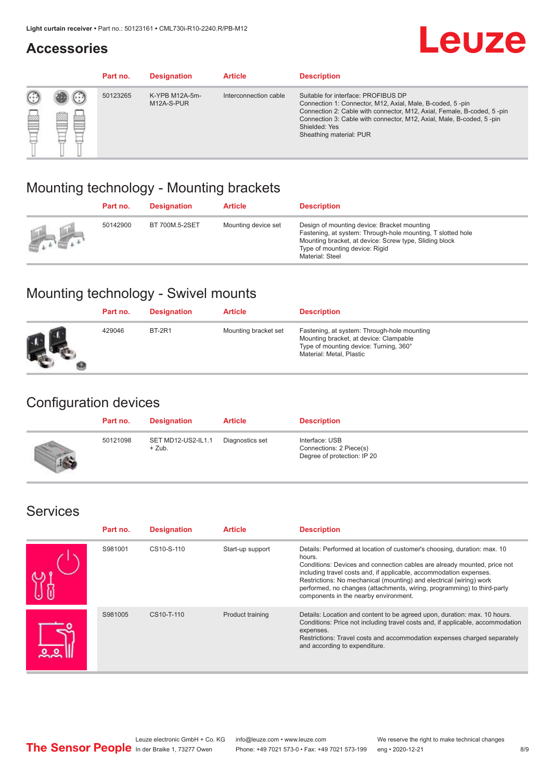#### **Accessories**

# **Leuze**

|   |            | Part no. | <b>Designation</b>           | <b>Article</b>        | <b>Description</b>                                                                                                                                                                                                                                                                             |
|---|------------|----------|------------------------------|-----------------------|------------------------------------------------------------------------------------------------------------------------------------------------------------------------------------------------------------------------------------------------------------------------------------------------|
| œ | 83<br>toni | 50123265 | K-YPB M12A-5m-<br>M12A-S-PUR | Interconnection cable | Suitable for interface: PROFIBUS DP<br>Connection 1: Connector, M12, Axial, Male, B-coded, 5-pin<br>Connection 2: Cable with connector, M12, Axial, Female, B-coded, 5-pin<br>Connection 3: Cable with connector, M12, Axial, Male, B-coded, 5-pin<br>Shielded: Yes<br>Sheathing material: PUR |

#### Mounting technology - Mounting brackets

|               | Part no. | <b>Designation</b> | <b>Article</b>      | <b>Description</b>                                                                                                                                                                                                        |
|---------------|----------|--------------------|---------------------|---------------------------------------------------------------------------------------------------------------------------------------------------------------------------------------------------------------------------|
| $\frac{1}{2}$ | 50142900 | BT 700M.5-2SET     | Mounting device set | Design of mounting device: Bracket mounting<br>Fastening, at system: Through-hole mounting, T slotted hole<br>Mounting bracket, at device: Screw type, Sliding block<br>Type of mounting device: Rigid<br>Material: Steel |

### Mounting technology - Swivel mounts

| Part no. | <b>Designation</b> | <b>Article</b>       | <b>Description</b>                                                                                                                                          |
|----------|--------------------|----------------------|-------------------------------------------------------------------------------------------------------------------------------------------------------------|
| 429046   | <b>BT-2R1</b>      | Mounting bracket set | Fastening, at system: Through-hole mounting<br>Mounting bracket, at device: Clampable<br>Type of mounting device: Turning, 360°<br>Material: Metal, Plastic |

#### Configuration devices

| Part no. | <b>Designation</b>             | <b>Article</b>  | <b>Description</b>                                                       |
|----------|--------------------------------|-----------------|--------------------------------------------------------------------------|
| 50121098 | SET MD12-US2-IL1.1<br>$+$ Zub. | Diagnostics set | Interface: USB<br>Connections: 2 Piece(s)<br>Degree of protection: IP 20 |

#### Services

| Part no. | <b>Designation</b> | <b>Article</b>   | <b>Description</b>                                                                                                                                                                                                                                                                                                                                                                                                              |
|----------|--------------------|------------------|---------------------------------------------------------------------------------------------------------------------------------------------------------------------------------------------------------------------------------------------------------------------------------------------------------------------------------------------------------------------------------------------------------------------------------|
| S981001  | CS10-S-110         | Start-up support | Details: Performed at location of customer's choosing, duration: max. 10<br>hours.<br>Conditions: Devices and connection cables are already mounted, price not<br>including travel costs and, if applicable, accommodation expenses.<br>Restrictions: No mechanical (mounting) and electrical (wiring) work<br>performed, no changes (attachments, wiring, programming) to third-party<br>components in the nearby environment. |
| S981005  | CS10-T-110         | Product training | Details: Location and content to be agreed upon, duration: max. 10 hours.<br>Conditions: Price not including travel costs and, if applicable, accommodation<br>expenses.<br>Restrictions: Travel costs and accommodation expenses charged separately<br>and according to expenditure.                                                                                                                                           |